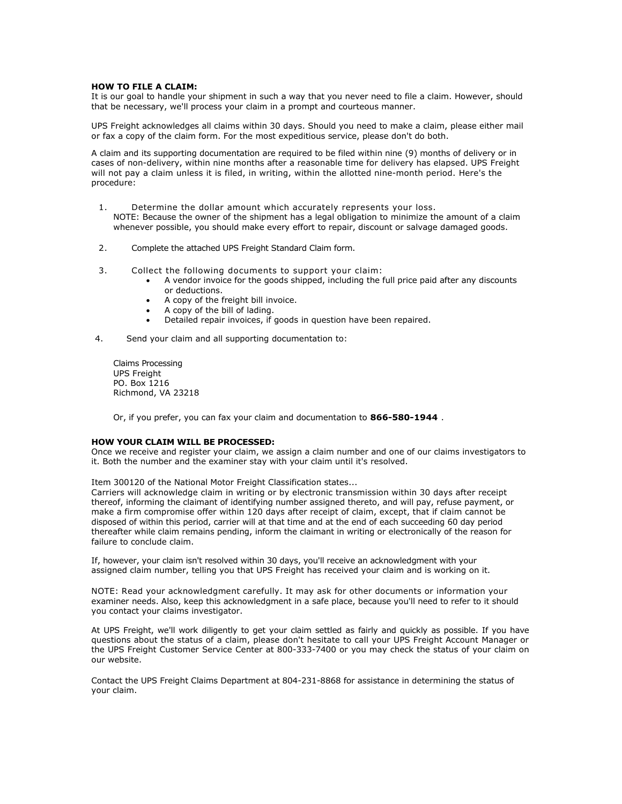#### **HOW TO FILE A CLAIM:**

It is our goal to handle your shipment in such a way that you never need to file a claim. However, should that be necessary, we'll process your claim in a prompt and courteous manner.

UPS Freight acknowledges all claims within 30 days. Should you need to make a claim, please either mail or fax a copy of the claim form. For the most expeditious service, please don't do both.

A claim and its supporting documentation are required to be filed within nine (9) months of delivery or in cases of non-delivery, within nine months after a reasonable time for delivery has elapsed. UPS Freight will not pay a claim unless it is filed, in writing, within the allotted nine-month period. Here's the procedure:

- 1. Determine the dollar amount which accurately represents your loss. NOTE: Because the owner of the shipment has a legal obligation to minimize the amount of a claim whenever possible, you should make every effort to repair, discount or salvage damaged goods.
- 2. Complete the attached UPS Freight Standard Claim form.
- 3. Collect the following documents to support your claim:
	- A vendor invoice for the goods shipped, including the full price paid after any discounts or deductions.
	- A copy of the freight bill invoice.
	- A copy of the bill of lading.
	- Detailed repair invoices, if goods in question have been repaired.
- 4. Send your claim and all supporting documentation to:

Claims Processing UPS Freight PO. Box 1216 Richmond, VA 23218

Or, if you prefer, you can fax your claim and documentation to **866-580-1944** .

#### **HOW YOUR CLAIM WILL BE PROCESSED:**

Once we receive and register your claim, we assign a claim number and one of our claims investigators to it. Both the number and the examiner stay with your claim until it's resolved.

#### Item 300120 of the National Motor Freight Classification states...

Carriers will acknowledge claim in writing or by electronic transmission within 30 days after receipt thereof, informing the claimant of identifying number assigned thereto, and will pay, refuse payment, or make a firm compromise offer within 120 days after receipt of claim, except, that if claim cannot be disposed of within this period, carrier will at that time and at the end of each succeeding 60 day period thereafter while claim remains pending, inform the claimant in writing or electronically of the reason for failure to conclude claim.

If, however, your claim isn't resolved within 30 days, you'll receive an acknowledgment with your assigned claim number, telling you that UPS Freight has received your claim and is working on it.

NOTE: Read your acknowledgment carefully. It may ask for other documents or information your examiner needs. Also, keep this acknowledgment in a safe place, because you'll need to refer to it should you contact your claims investigator.

At UPS Freight, we'll work diligently to get your claim settled as fairly and quickly as possible. If you have questions about the status of a claim, please don't hesitate to call your UPS Freight Account Manager or the UPS Freight Customer Service Center at 800-333-7400 or you may check the status of your claim on our website.

Contact the UPS Freight Claims Department at 804-231-8868 for assistance in determining the status of your claim.